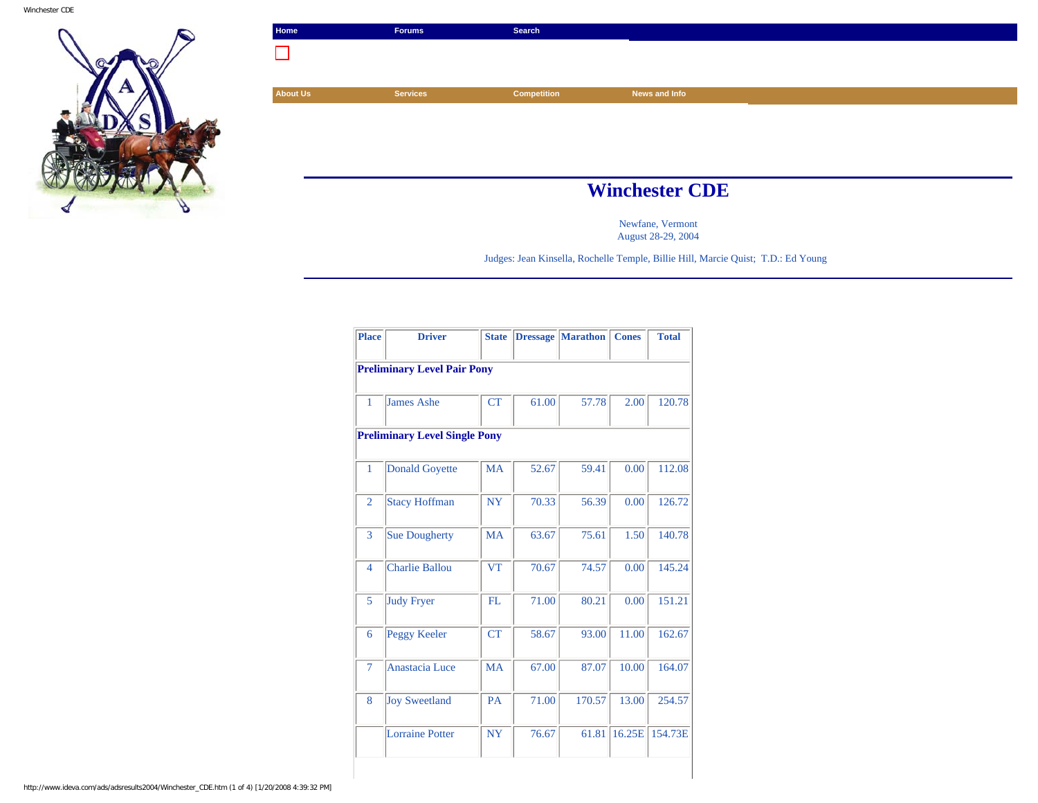

| Home            | <b>Forums</b>         | Search             |               |  |  |
|-----------------|-----------------------|--------------------|---------------|--|--|
|                 |                       |                    |               |  |  |
|                 |                       |                    |               |  |  |
| <b>About Us</b> | <b>Services</b>       | <b>Competition</b> | News and Info |  |  |
|                 |                       |                    |               |  |  |
|                 |                       |                    |               |  |  |
|                 |                       |                    |               |  |  |
|                 |                       |                    |               |  |  |
|                 | <b>Winchester CDE</b> |                    |               |  |  |

Newfane, Vermont August 28-29, 2004

Judges: Jean Kinsella, Rochelle Temple, Billie Hill, Marcie Quist; T.D.: Ed Young

| <b>Place</b>                       | <b>Driver</b>                        | <b>State</b> | <b>Dressage</b> | <b>Marathon</b> | <b>Cones</b> | <b>Total</b> |  |  |  |
|------------------------------------|--------------------------------------|--------------|-----------------|-----------------|--------------|--------------|--|--|--|
| <b>Preliminary Level Pair Pony</b> |                                      |              |                 |                 |              |              |  |  |  |
| 1                                  | James Ashe                           | <b>CT</b>    | 61.00           | 57.78           | 2.00         | 120.78       |  |  |  |
|                                    | <b>Preliminary Level Single Pony</b> |              |                 |                 |              |              |  |  |  |
| 1                                  | <b>Donald Goyette</b>                | <b>MA</b>    | 52.67           | 59.41           | 0.00         | 112.08       |  |  |  |
| $\overline{2}$                     | <b>Stacy Hoffman</b>                 | <b>NY</b>    | 70.33           | 56.39           | 0.00         | 126.72       |  |  |  |
| 3                                  | <b>Sue Dougherty</b>                 | <b>MA</b>    | 63.67           | 75.61           | 1.50         | 140.78       |  |  |  |
| $\overline{4}$                     | <b>Charlie Ballou</b>                | <b>VT</b>    | 70.67           | 74.57           | 0.00         | 145.24       |  |  |  |
| 5                                  | <b>Judy Fryer</b>                    | FL           | 71.00           | 80.21           | 0.00         | 151.21       |  |  |  |
| 6                                  | Peggy Keeler                         | <b>CT</b>    | 58.67           | 93.00           | 11.00        | 162.67       |  |  |  |
| $\overline{7}$                     | Anastacia Luce                       | <b>MA</b>    | 67.00           | 87.07           | 10.00        | 164.07       |  |  |  |
| 8                                  | <b>Joy Sweetland</b>                 | PA           | 71.00           | 170.57          | 13.00        | 254.57       |  |  |  |
|                                    | <b>Lorraine Potter</b>               | <b>NY</b>    | 76.67           | 61.81           | 16.25E       | 154.73E      |  |  |  |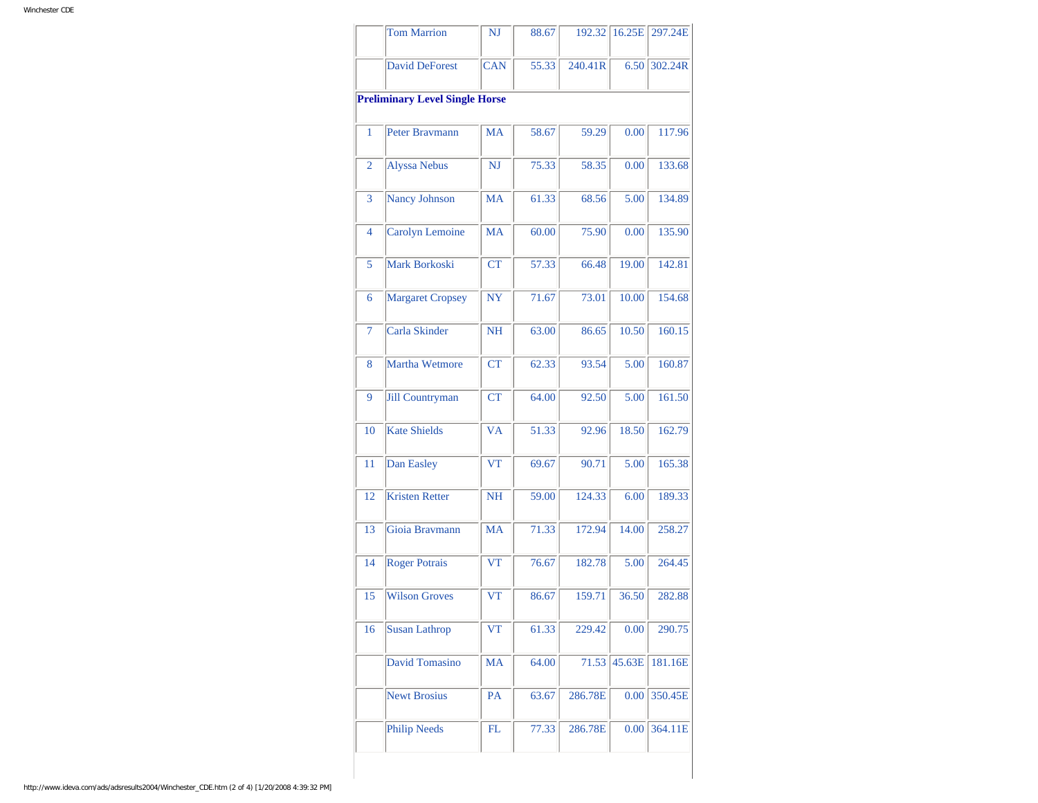|                | <b>Tom Marrion</b>                    | NJ         | 88.67 | 192.32  | 16.25E | 297.24E   |
|----------------|---------------------------------------|------------|-------|---------|--------|-----------|
|                | David DeForest                        | <b>CAN</b> | 55.33 | 240.41R | 6.50   | $302.24R$ |
|                | <b>Preliminary Level Single Horse</b> |            |       |         |        |           |
| 1              | Peter Bravmann                        | MA         | 58.67 | 59.29   | 0.00   | 117.96    |
| $\overline{2}$ | <b>Alyssa Nebus</b>                   | NJ         | 75.33 | 58.35   | 0.00   | 133.68    |
| 3              | Nancy Johnson                         | <b>MA</b>  | 61.33 | 68.56   | 5.00   | 134.89    |
| $\overline{4}$ | Carolyn Lemoine                       | MA         | 60.00 | 75.90   | 0.00   | 135.90    |
| 5              | Mark Borkoski                         | <b>CT</b>  | 57.33 | 66.48   | 19.00  | 142.81    |
| 6              | <b>Margaret Cropsey</b>               | <b>NY</b>  | 71.67 | 73.01   | 10.00  | 154.68    |
| 7              | Carla Skinder                         | <b>NH</b>  | 63.00 | 86.65   | 10.50  | 160.15    |
| 8              | Martha Wetmore                        | CT         | 62.33 | 93.54   | 5.00   | 160.87    |
| 9              | <b>Jill Countryman</b>                | CT         | 64.00 | 92.50   | 5.00   | 161.50    |
| 10             | <b>Kate Shields</b>                   | <b>VA</b>  | 51.33 | 92.96   | 18.50  | 162.79    |
| 11             | Dan Easley                            | VT         | 69.67 | 90.71   | 5.00   | 165.38    |
| 12             | <b>Kristen Retter</b>                 | <b>NH</b>  | 59.00 | 124.33  | 6.00   | 189.33    |
| 13             | Gioia Bravmann                        | <b>MA</b>  | 71.33 | 172.94  | 14.00  | 258.27    |
| 14             | <b>Roger Potrais</b>                  | <b>VT</b>  | 76.67 | 182.78  | 5.00   | 264.45    |
| 15             | <b>Wilson Groves</b>                  | <b>VT</b>  | 86.67 | 159.71  | 36.50  | 282.88    |
| 16             | <b>Susan Lathrop</b>                  | VT         | 61.33 | 229.42  | 0.00   | 290.75    |
|                | David Tomasino                        | <b>MA</b>  | 64.00 | 71.53   | 45.63E | 181.16E   |
|                | <b>Newt Brosius</b>                   | <b>PA</b>  | 63.67 | 286.78E | 0.00   | 350.45E   |
|                | <b>Philip Needs</b>                   | FL         | 77.33 | 286.78E | 0.00   | 364.11E   |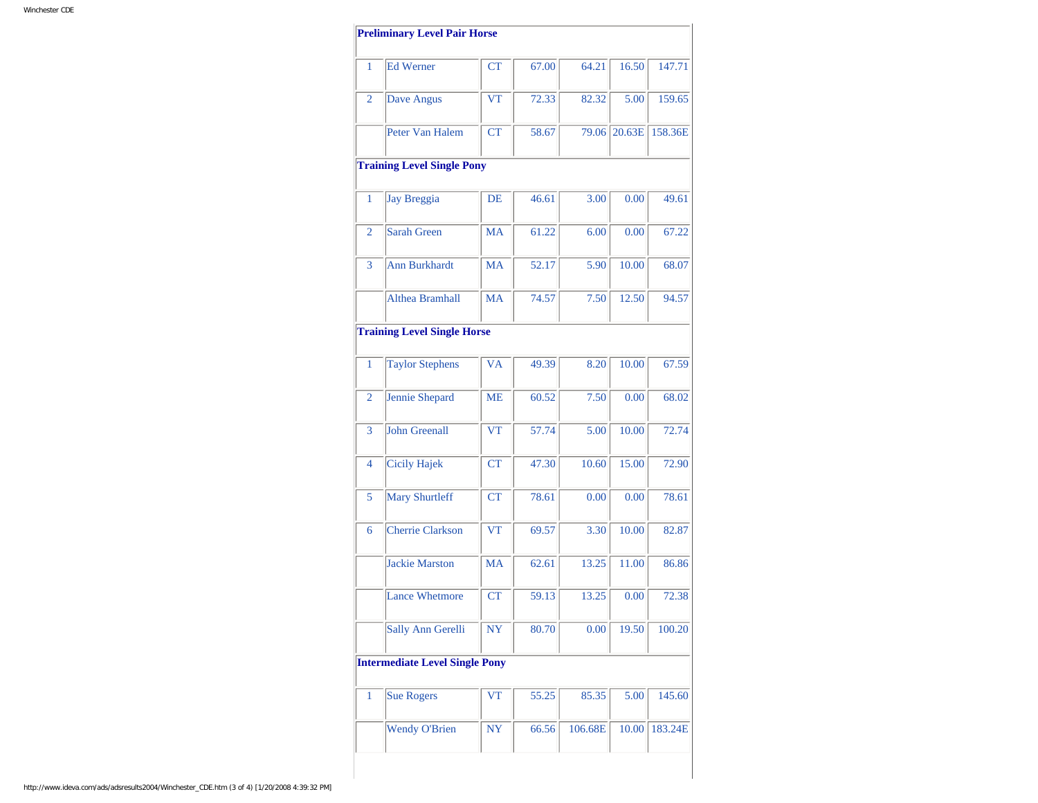| 1              | <b>Ed Werner</b>                      | <b>CT</b> | 67.00 | 64.21   | 16.50  | 147.71  |
|----------------|---------------------------------------|-----------|-------|---------|--------|---------|
| 2              | Dave Angus                            | <b>VT</b> | 72.33 | 82.32   | 5.00   | 159.65  |
|                | Peter Van Halem                       | <b>CT</b> | 58.67 | 79.06   | 20.63E | 158.36E |
|                | <b>Training Level Single Pony</b>     |           |       |         |        |         |
| 1              | Jay Breggia                           | DE        | 46.61 | 3.00    | 0.00   | 49.61   |
| $\overline{2}$ | Sarah Green                           | <b>MA</b> | 61.22 | 6.00    | 0.00   | 67.22   |
| 3              | <b>Ann Burkhardt</b>                  | MA        | 52.17 | 5.90    | 10.00  | 68.07   |
|                | Althea Bramhall                       | <b>MA</b> | 74.57 | 7.50    | 12.50  | 94.57   |
|                | <b>Training Level Single Horse</b>    |           |       |         |        |         |
| 1              | <b>Taylor Stephens</b>                | <b>VA</b> | 49.39 | 8.20    | 10.00  | 67.59   |
| $\overline{2}$ | Jennie Shepard                        | ME        | 60.52 | 7.50    | 0.00   | 68.02   |
| 3              | <b>John Greenall</b>                  | <b>VT</b> | 57.74 | 5.00    | 10.00  | 72.74   |
| 4              | <b>Cicily Hajek</b>                   | <b>CT</b> | 47.30 | 10.60   | 15.00  | 72.90   |
| 5              | <b>Mary Shurtleff</b>                 | CT        | 78.61 | 0.00    | 0.00   | 78.61   |
| 6              | <b>Cherrie Clarkson</b>               | <b>VT</b> | 69.57 | 3.30    | 10.00  | 82.87   |
|                | Jackie Marston                        | <b>MA</b> | 62.61 | 13.25   | 11.00  | 86.86   |
|                | <b>Lance Whetmore</b>                 | <b>CT</b> | 59.13 | 13.25   | 0.00   | 72.38   |
|                | Sally Ann Gerelli                     | NY        | 80.70 | 0.00    | 19.50  | 100.20  |
|                | <b>Intermediate Level Single Pony</b> |           |       |         |        |         |
| 1              | <b>Sue Rogers</b>                     | VT        | 55.25 | 85.35   | 5.00   | 145.60  |
|                | <b>Wendy O'Brien</b>                  | <b>NY</b> | 66.56 | 106.68E | 10.00  | 183.24E |